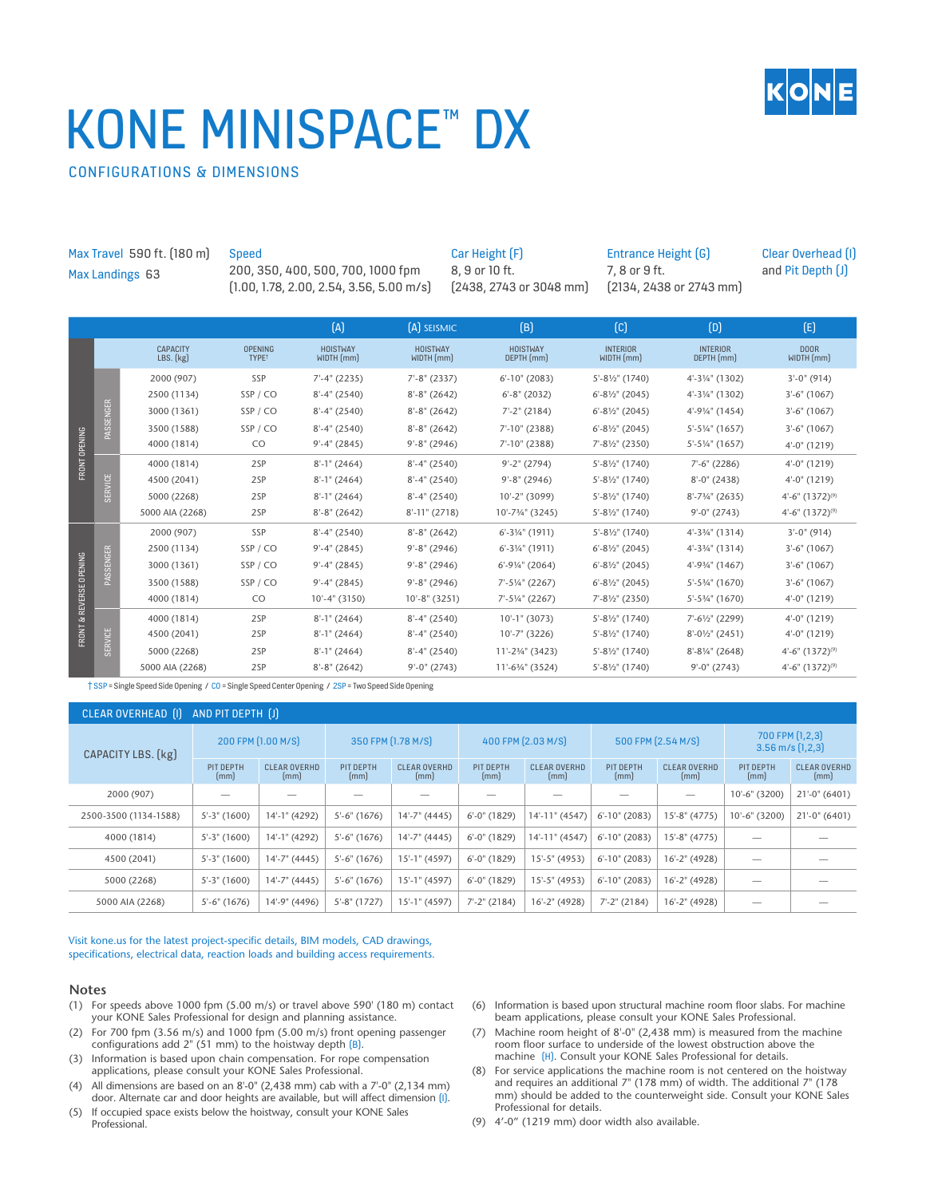# KONE MINISPACE™ DX



CONFIGURATIONS & DIMENSIONS

| Max Travel 590 ft. (180 m)<br>Max Landings 63 |                  |                                                                        | Speed<br>200, 350, 400, 500, 700, 1000 fpm<br>$(1.00, 1.78, 2.00, 2.54, 3.56, 5.00 \text{ m/s})$                                                                                 |                                                                                           |                                                                                                    | Car Height (F)<br>8, 9 or 10 ft.<br>$[2438, 2743$ or 3048 mm              |                                                                                                                     | Entrance Height (G)<br>7, 8 or 9 ft.<br>$[2134, 2438$ or 2743 mm                                                                    |                                                                                                          | Clear Overhead [1]<br>and Pit Depth [J]                                                  |
|-----------------------------------------------|------------------|------------------------------------------------------------------------|----------------------------------------------------------------------------------------------------------------------------------------------------------------------------------|-------------------------------------------------------------------------------------------|----------------------------------------------------------------------------------------------------|---------------------------------------------------------------------------|---------------------------------------------------------------------------------------------------------------------|-------------------------------------------------------------------------------------------------------------------------------------|----------------------------------------------------------------------------------------------------------|------------------------------------------------------------------------------------------|
|                                               |                  |                                                                        |                                                                                                                                                                                  | (A)                                                                                       | [A] SEISMIC                                                                                        |                                                                           | (B)                                                                                                                 | $\lbrack$ C                                                                                                                         | (D)                                                                                                      | (E)                                                                                      |
| FRONT OPENING                                 |                  | <b>CAPACITY</b><br>LBS. (kg)                                           | <b>OPENING</b><br>TYPE <sup>t</sup>                                                                                                                                              | <b>HOISTWAY</b><br>WIDTH (mm)                                                             | <b>HOISTWAY</b><br>WIDTH (mm)                                                                      |                                                                           | <b>HOISTWAY</b><br>DEPTH (mm)                                                                                       | <b>INTERIOR</b><br>WIDTH (mm)                                                                                                       | <b>INTERIOR</b><br>DEPTH (mm)                                                                            | <b>DOOR</b><br>WIDTH (mm)                                                                |
|                                               | PASSENGER        | 2000 (907)<br>2500 (1134)                                              | SSP<br>SSP / CO                                                                                                                                                                  | $7'-4''$ (2235)<br>$8'-4''$ (2540)                                                        | $7'-8''$ (2337)<br>$8'-8''$ (2642)                                                                 |                                                                           | $6'$ -10" (2083)<br>$6'-8''$ (2032)                                                                                 | $5'-8\frac{1}{2}$ " (1740)<br>$6'-8\frac{1}{2}$ (2045)                                                                              | 4'-31/4" (1302)<br>4'-31/4" (1302)                                                                       | $3'-0''(914)$<br>$3'-6''$ (1067)                                                         |
|                                               |                  | 3000 (1361)<br>3500 (1588)<br>4000 (1814)                              | SSP/CO<br>SSP/CO<br>CO                                                                                                                                                           | $8'-4''$ (2540)<br>$8'-4''$ (2540)<br>$9'-4''$ (2845)                                     | $8'-8''$ (2642)<br>$8'-8''$ (2642)<br>$9' - 8''$ (2946)                                            |                                                                           | $7'-2''$ (2184)<br>7'-10" (2388)<br>7'-10" (2388)                                                                   | $6'-8\frac{1}{2}$ " (2045)<br>$6'-8\frac{1}{2}$ " (2045)<br>7'-81/2" (2350)                                                         | 4'-91/4" (1454)<br>$5' - 5' / 4''$ (1657)<br>5'-51/4" (1657)                                             | $3'-6''$ (1067)<br>$3'-6''$ (1067)<br>$4'-0''(1219)$                                     |
|                                               | <b>SERVICE</b>   | 4000 (1814)<br>4500 (2041)<br>5000 (2268)<br>5000 AIA (2268)           | $8'-1$ " (2464)<br>$8'-4''$ (2540)<br>2SP<br>2SP<br>$8'-1$ " (2464)<br>$8'-4''$ (2540)<br>2SP<br>$8'-4''$ (2540)<br>$8'-1$ " (2464)<br>2SP<br>$8'-11''(2718)$<br>$8'-8''$ (2642) |                                                                                           |                                                                                                    | $9' - 2''$ (2794)<br>$9'-8''$ (2946)<br>10'-2" (3099)<br>10'-73/4" (3245) | 5'-81/2" (1740)<br>5'-81/2" (1740)<br>5'-81/2" (1740)<br>5'-81/2" (1740)                                            | $7'-6''$ (2286)<br>$8'-0''$ (2438)<br>$8'-7\frac{3}{4}$ " (2635)<br>$9'-0''$ (2743)                                                 | $4'-0''(1219)$<br>$4'-0''(1219)$<br>$4'-6''$ $(1372)^{(9)}$<br>$4'-6''$ $(1372)^{(9)}$                   |                                                                                          |
| <b>FRONT &amp; REVERSE OPENING</b>            | <b>PASSENGER</b> | 2000 (907)<br>2500 (1134)<br>3000 (1361)<br>3500 (1588)<br>4000 (1814) | SSP<br>SSP/CO<br>SSP / CO<br>SSP/CO<br>CO                                                                                                                                        | $8'-4''$ (2540)<br>$9'-4''$ (2845)<br>$9'-4''$ (2845)<br>$9'-4''$ (2845)<br>10'-4" (3150) | $8'-8''$ (2642)<br>$9' - 8''$ (2946)<br>$9' - 8''$ (2946)<br>$9' - 8''$ (2946)<br>$10'-8''$ (3251) |                                                                           | $6' - 3' / 4''$ (1911)<br>$6'$ -3¼" (1911)<br>$6'$ -91/ <sub>4</sub> " (2064)<br>7'-51/4" (2267)<br>7'-51/4" (2267) | $5'-8\frac{1}{2}$ " (1740)<br>$6'-8\frac{1}{2}$ (2045)<br>$6'-8\frac{1}{2}$ " (2045)<br>$6'-8\frac{1}{2}$ (2045)<br>7'-81/2" (2350) | $4'-33/4''(1314)$<br>4'-33/4" (1314)<br>4'-93/4" (1467)<br>$5'-5\frac{3}{4}$ " (1670)<br>5'-53/4" (1670) | $3'-0''(914)$<br>$3'-6''$ (1067)<br>$3'-6''$ (1067)<br>$3'-6''$ (1067)<br>$4'-0''(1219)$ |
|                                               | NICE             | 4000 (1814)<br>4500 (2041)                                             | 2SP<br>2SP                                                                                                                                                                       | $8'-1$ " (2464)<br>$8'-1$ " (2464)                                                        | $8'-4''$ (2540)<br>$8'-4''$ (2540)                                                                 |                                                                           | $10'-1$ " (3073)<br>10'-7" (3226)                                                                                   | 5'-81/2" (1740)<br>$5'-8\frac{1}{2}$ " (1740)                                                                                       | 7'-61/2" (2299)<br>8'-01/2" (2451)                                                                       | $4'-0''(1219)$<br>4'-0" (1219)                                                           |

† SSP = Single Speed Side Opening / CO = Single Speed Center Opening / 2SP = Two Speed Side Opening

#### CLEAR OVERHEAD (I) AND PIT DEPTH (J) CAPACITY LBS. (kg) 200 FPM (1.00 M/S) 350 FPM (1.78 M/S) 400 FPM (2.03 M/S) 500 FPM (2.54 M/S) 700 FPM (1,2,3) 3.56 m/s (1,2,3) PIT DEPTH (mm) CLEAR OVERHD (mm) PIT DEPTH (mm) CLEAR OVERHD (mm) PIT DEPTH (mm) CLEAR OVERHD (mm) PIT DEPTH (mm) CLEAR OVERHD (mm) PIT DEPTH (mm) CLEAR OVERHD (mm) 2000 (907) — — — — — — — — 10'-6" (3200) 21'-0" (6401) 2500-3500 (1134-1588) 5'-3" (1600) 14'-1" (4292) 5'-6" (1676) 14'-7" (4445) 6'-0" (1829) 14'-11" (4547) 6'-10" (2083) 15'-8" (4775) 10'-6" (3200) 21'-0" (6401) 4000 (1814) 5'-3" (1600) 14'-1" (4292) 5'-6" (1676) 14'-7" (4445) 6'-0" (1829) 14'-11" (4547) 6'-10" (2083) 15'-8" (4775) — — 4500 (2041) 5'-3" (1600) 14'-7" (4445) 5'-6" (1676) 15'-1" (4597) 6'-0" (1829) 15'-5" (4953) 6'-10" (2083) 16'-2" (4928) — — 5000 (2268) 5'-3" (1600) 14'-7" (4445) 5'-6" (1676) 15'-1" (4597) 6'-0" (1829) 15'-5" (4953) 6'-10" (2083) 16'-2" (4928) — — 5000 AIA (2268) | 5'-6" (1676) | 14'-9" (4496) | 5'-8" (1727) | 15'-1" (4597) | 7'-2" (2184) | 16'-2" (2184) | 16'-2" (4928) | — —

4500 (2041) 2SP 8'-1" (2464) 8'-4" (2540) 10'-7" (3226) 5'-8½" (1740) 8'-0½" (2451) 4'-0" (1219) 5000 (2268) 2SP 8'-1" (2464) 8'-4" (2540) 11'-2¾" (3423) 5'-8½" (1740) 8'-8¼" (2648) 4'-6" (1372)(9) 5000 AIA (2268) 2SP 8'-8" (2642) 9'-0" (2743) 11'-6¾" (3524) 5'-8½" (1740) 9'-0" (2743) 4'-6" (1372)(9)

Visit kone.us for the latest project-specific details, BIM models, CAD drawings, specifications, electrical data, reaction loads and building access requirements.

#### **Notes**

SERVICE

- (1) For speeds above 1000 fpm (5.00 m/s) or travel above 590' (180 m) contact your KONE Sales Professional for design and planning assistance.
- (2) For 700 fpm (3.56 m/s) and 1000 fpm (5.00 m/s) front opening passenger configurations add 2" (51 mm) to the hoistway depth (B).
- (3) Information is based upon chain compensation. For rope compensation applications, please consult your KONE Sales Professional.
- (4) All dimensions are based on an  $8'-0''$  (2,438 mm) cab with a  $7'-0''$  (2,134 mm) door. Alternate car and door heights are available, but will affect dimension (I).
- (5) If occupied space exists below the hoistway, consult your KONE Sales Professional.
- (6) Information is based upon structural machine room floor slabs. For machine beam applications, please consult your KONE Sales Professional.
- (7) Machine room height of 8'-0" (2,438 mm) is measured from the machine room floor surface to underside of the lowest obstruction above the machine (H). Consult your KONE Sales Professional for details.
- (8) For service applications the machine room is not centered on the hoistway and requires an additional  $7"$  (178 mm) of width. The additional  $7"$  (178 mm) should be added to the counterweight side. Consult your KONE Sales Professional for details.
- (9) 4'-0" (1219 mm) door width also available.